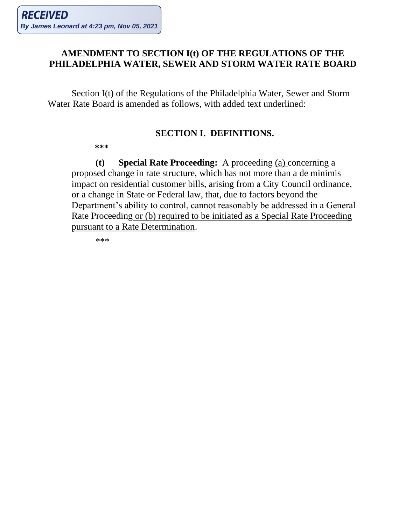## **AMENDMENT TO SECTION I(t) OF THE REGULATIONS OF THE PHILADELPHIA WATER, SEWER AND STORM WATER RATE BOARD**

Section I(t) of the Regulations of the Philadelphia Water, Sewer and Storm Water Rate Board is amended as follows, with added text underlined:

## **SECTION I. DEFINITIONS.**

 **\*\*\***

**(t) Special Rate Proceeding:** A proceeding (a) concerning a proposed change in rate structure, which has not more than a de minimis impact on residential customer bills, arising from a City Council ordinance, or a change in State or Federal law, that, due to factors beyond the Department's ability to control, cannot reasonably be addressed in a General Rate Proceeding or (b) required to be initiated as a Special Rate Proceeding pursuant to a Rate Determination.

\*\*\*